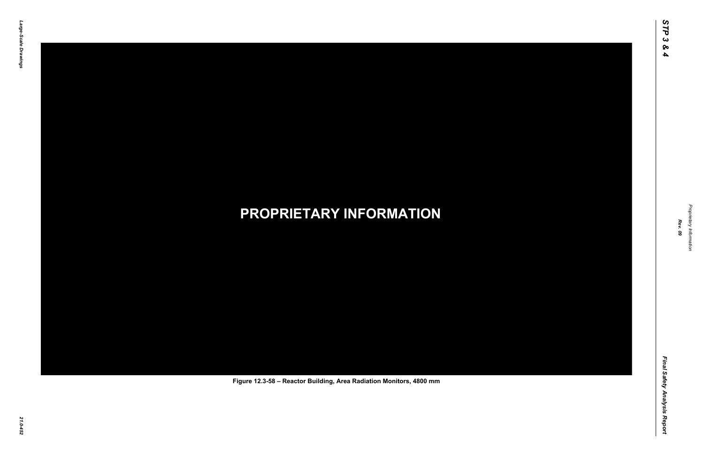

Proprietary Information *Proprietary Information*

#### *21.0-452* **PROPRIETARY INFORMATION Figure 12.3-58 – Reactor Building, Area Radiation Monitors, 4800 mm**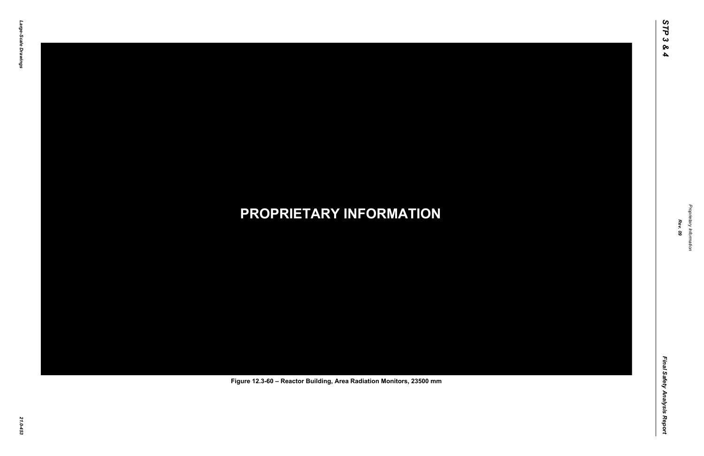

Proprietary Information *Proprietary Information*

#### *21.0-453* **PROPRIETARY INFORMATION Figure 12.3-60 – Reactor Building, Area Radiation Monitors, 23500 mm**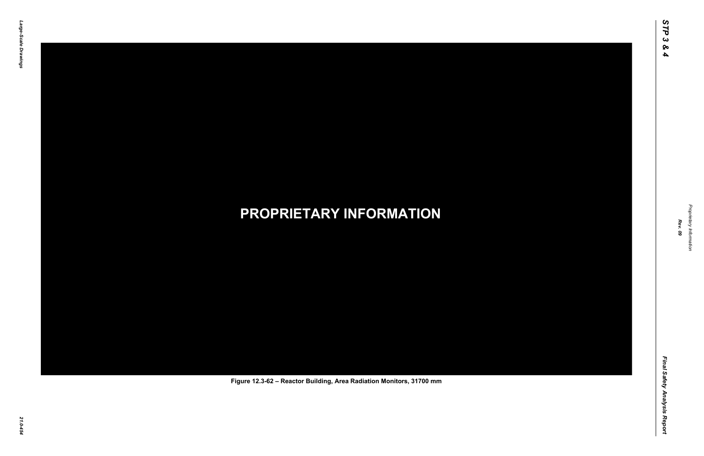

Proprietary Information *Proprietary Information*

#### *21.0-454* **PROPRIETARY INFORMATION Figure 12.3-62 – Reactor Building, Area Radiation Monitors, 31700 mm**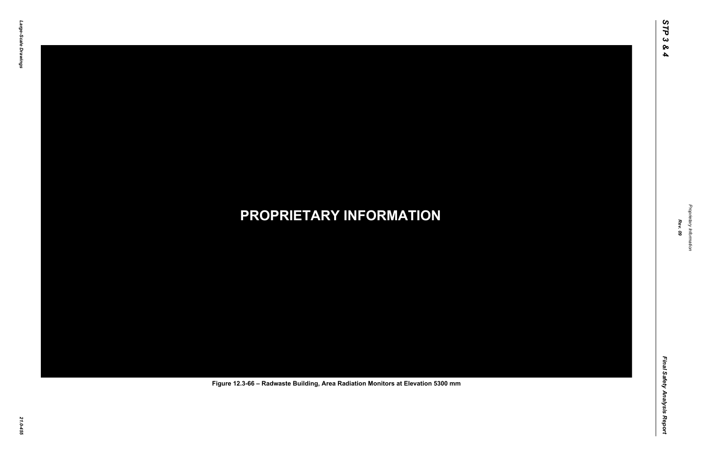

Proprietary Information *Proprietary Information*

#### *21.0-455* **PROPRIETARY INFORMATION Figure 12.3-66 – Radwaste Building, Area Radiation Monitors at Elevation 5300 mm**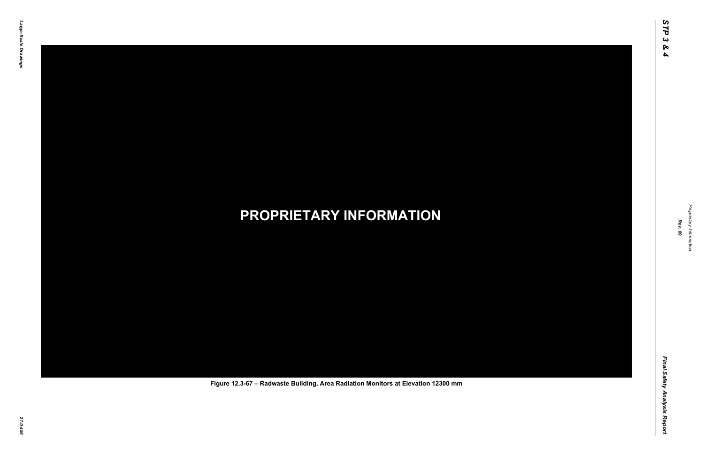

Proprietary Information *Proprietary Information*

#### *21.0-456* **PROPRIETARY INFORMATION Figure 12.3-67 – Radwaste Building, Area Radiation Monitors at Elevation 12300 mm**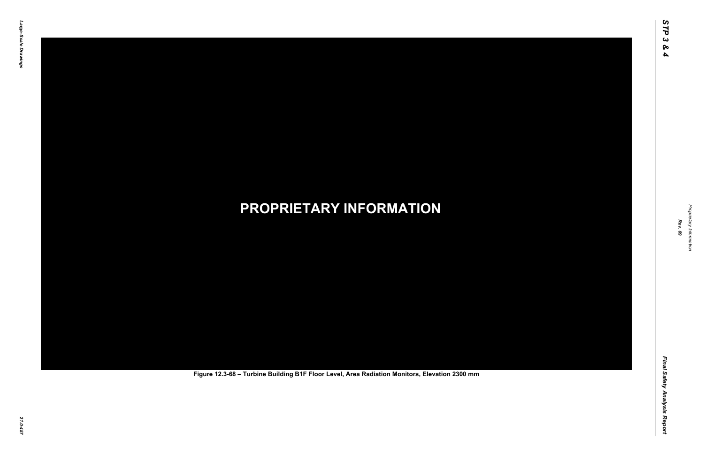Final Safety Analysis Report *Final Safety Analysis Report*



Proprietary Information *Proprietary Information*

# *21.0-457* **PROPRIETARY INFORMATION Figure 12.3-68 – Turbine Building B1F Floor Level, Area Radiation Monitors, Elevation 2300 mm**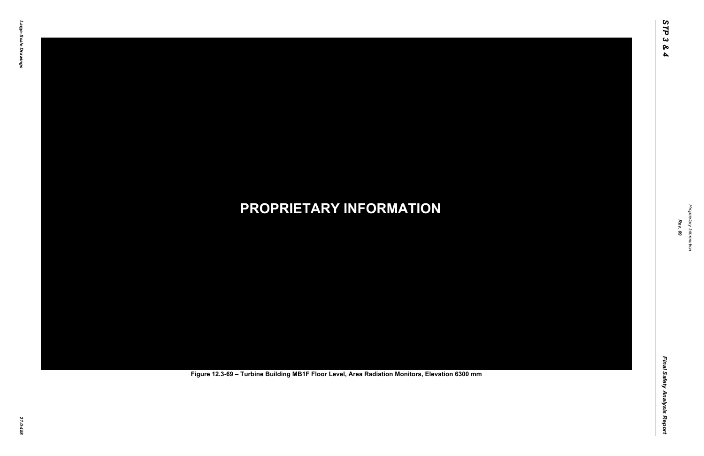Final Safety Analysis Report *Final Safety Analysis Report*



Proprietary Information *Proprietary Information*

# *21.0-458* **PROPRIETARY INFORMATION Figure 12.3-69 – Turbine Building MB1F Floor Level, Area Radiation Monitors, Elevation 6300 mm**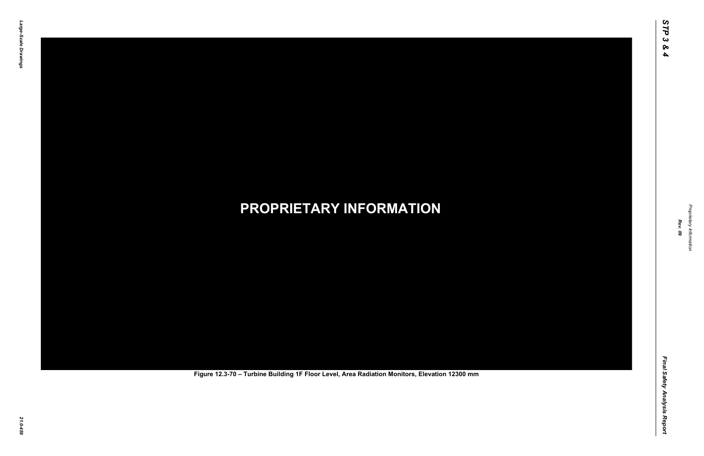Final Safety Analysis Report *Final Safety Analysis Report*



Proprietary Information *Proprietary Information*

# *21.0-459* **PROPRIETARY INFORMATION Figure 12.3-70 – Turbine Building 1F Floor Level, Area Radiation Monitors, Elevation 12300 mm**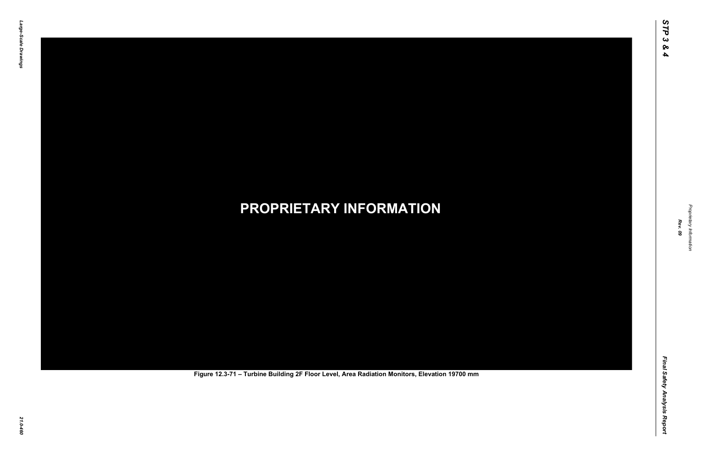Final Safety Analysis Report *Final Safety Analysis Report*



Proprietary Information *Proprietary Information*

# *21.0-460* **PROPRIETARY INFORMATION Figure 12.3-71 – Turbine Building 2F Floor Level, Area Radiation Monitors, Elevation 19700 mm**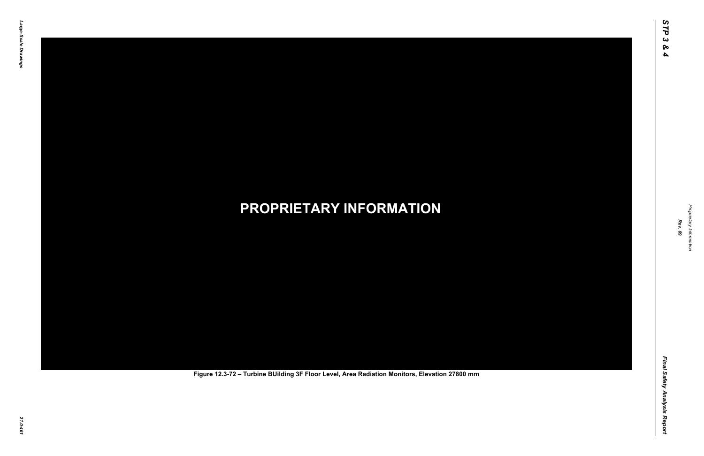Final Safety Analysis Report *Final Safety Analysis Report*



Proprietary Information *Proprietary Information*

# *21.0-461* **PROPRIETARY INFORMATION Figure 12.3-72 – Turbine BUilding 3F Floor Level, Area Radiation Monitors, Elevation 27800 mm**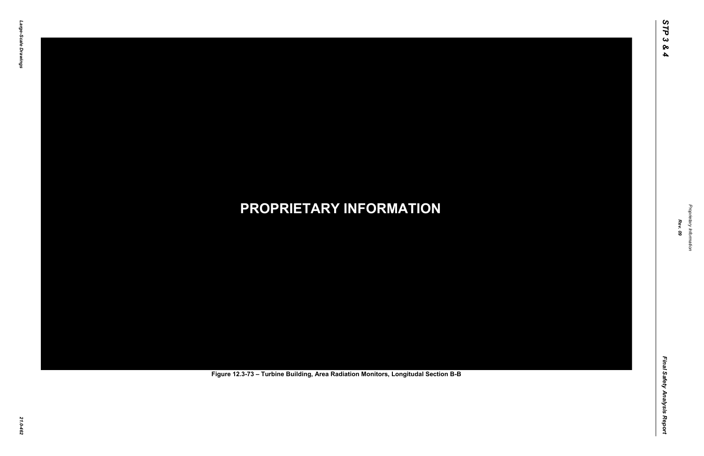Final Safety Analysis Report *Final Safety Analysis Report*



Proprietary Information *Proprietary Information*

# *21.0-462* **PROPRIETARY INFORMATION Figure 12.3-73 – Turbine Building, Area Radiation Monitors, Longitudal Section B-B**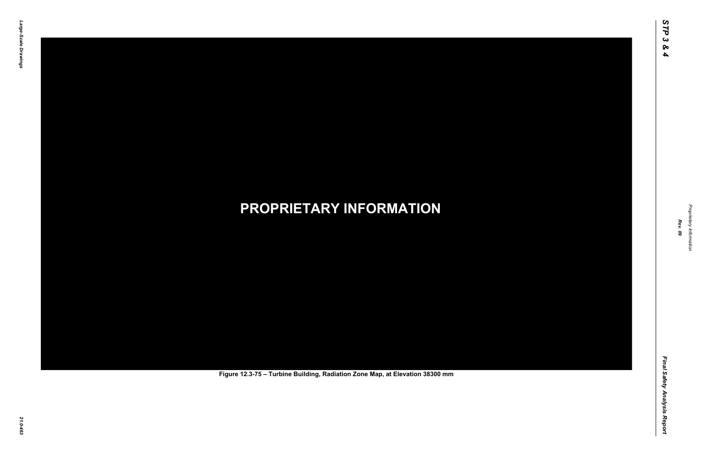Final Safety Analysis Report *Final Safety Analysis Report*



Proprietary Information *Proprietary Information*

# *21.0-463* **PROPRIETARY INFORMATION Figure 12.3-75 – Turbine Building, Radiation Zone Map, at Elevation 38300 mm**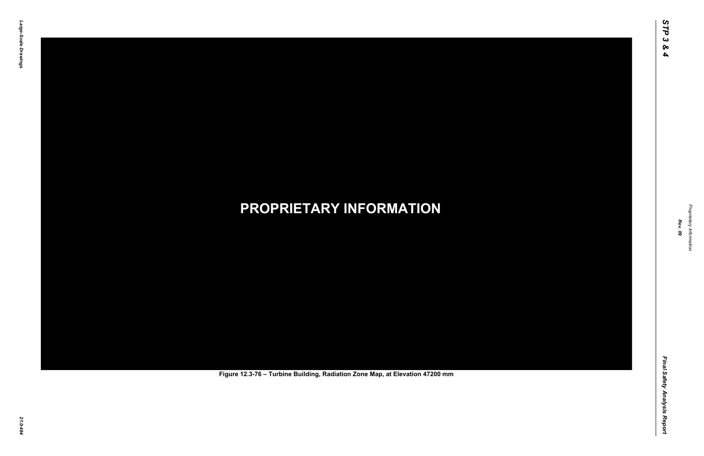Final Safety Analysis Report *Final Safety Analysis Report*



Proprietary Information *Proprietary Information*

# *21.0-464* **PROPRIETARY INFORMATION Figure 12.3-76 – Turbine Building, Radiation Zone Map, at Elevation 47200 mm**